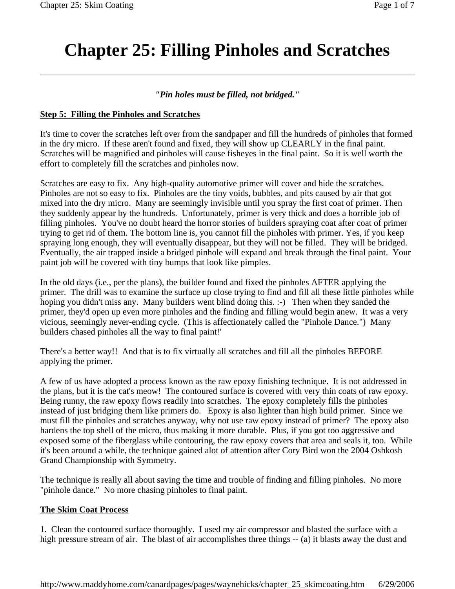# **Chapter 25: Filling Pinholes and Scratches**

## *"Pin holes must be filled, not bridged."*

### **Step 5: Filling the Pinholes and Scratches**

It's time to cover the scratches left over from the sandpaper and fill the hundreds of pinholes that formed in the dry micro. If these aren't found and fixed, they will show up CLEARLY in the final paint. Scratches will be magnified and pinholes will cause fisheyes in the final paint. So it is well worth the effort to completely fill the scratches and pinholes now.

Scratches are easy to fix. Any high-quality automotive primer will cover and hide the scratches. Pinholes are not so easy to fix. Pinholes are the tiny voids, bubbles, and pits caused by air that got mixed into the dry micro. Many are seemingly invisible until you spray the first coat of primer. Then they suddenly appear by the hundreds. Unfortunately, primer is very thick and does a horrible job of filling pinholes. You've no doubt heard the horror stories of builders spraying coat after coat of primer trying to get rid of them. The bottom line is, you cannot fill the pinholes with primer. Yes, if you keep spraying long enough, they will eventually disappear, but they will not be filled. They will be bridged. Eventually, the air trapped inside a bridged pinhole will expand and break through the final paint. Your paint job will be covered with tiny bumps that look like pimples.

In the old days (i.e., per the plans), the builder found and fixed the pinholes AFTER applying the primer. The drill was to examine the surface up close trying to find and fill all these little pinholes while hoping you didn't miss any. Many builders went blind doing this. :-) Then when they sanded the primer, they'd open up even more pinholes and the finding and filling would begin anew. It was a very vicious, seemingly never-ending cycle. (This is affectionately called the "Pinhole Dance.") Many builders chased pinholes all the way to final paint!'

There's a better way!! And that is to fix virtually all scratches and fill all the pinholes BEFORE applying the primer.

A few of us have adopted a process known as the raw epoxy finishing technique. It is not addressed in the plans, but it is the cat's meow! The contoured surface is covered with very thin coats of raw epoxy. Being runny, the raw epoxy flows readily into scratches. The epoxy completely fills the pinholes instead of just bridging them like primers do. Epoxy is also lighter than high build primer. Since we must fill the pinholes and scratches anyway, why not use raw epoxy instead of primer? The epoxy also hardens the top shell of the micro, thus making it more durable. Plus, if you got too aggressive and exposed some of the fiberglass while contouring, the raw epoxy covers that area and seals it, too. While it's been around a while, the technique gained alot of attention after Cory Bird won the 2004 Oshkosh Grand Championship with Symmetry.

The technique is really all about saving the time and trouble of finding and filling pinholes. No more "pinhole dance." No more chasing pinholes to final paint.

#### **The Skim Coat Process**

1. Clean the contoured surface thoroughly. I used my air compressor and blasted the surface with a high pressure stream of air. The blast of air accomplishes three things -- (a) it blasts away the dust and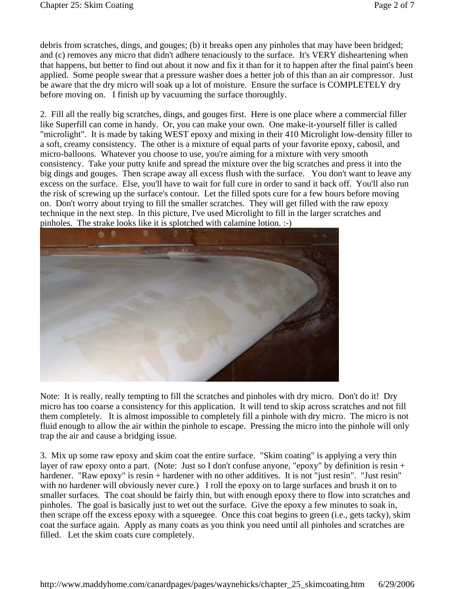debris from scratches, dings, and gouges; (b) it breaks open any pinholes that may have been bridged; and (c) removes any micro that didn't adhere tenaciously to the surface. It's VERY disheartening when that happens, but better to find out about it now and fix it than for it to happen after the final paint's been applied. Some people swear that a pressure washer does a better job of this than an air compressor. Just be aware that the dry micro will soak up a lot of moisture. Ensure the surface is COMPLETELY dry before moving on. I finish up by vacuuming the surface thoroughly.

2. Fill all the really big scratches, dings, and gouges first. Here is one place where a commercial filler like Superfill can come in handy. Or, you can make your own. One make-it-yourself filler is called "microlight". It is made by taking WEST epoxy and mixing in their 410 Microlight low-density filler to a soft, creamy consistency. The other is a mixture of equal parts of your favorite epoxy, cabosil, and micro-balloons. Whatever you choose to use, you're aiming for a mixture with very smooth consistency. Take your putty knife and spread the mixture over the big scratches and press it into the big dings and gouges. Then scrape away all excess flush with the surface. You don't want to leave any excess on the surface. Else, you'll have to wait for full cure in order to sand it back off. You'll also run the risk of screwing up the surface's contour. Let the filled spots cure for a few hours before moving on. Don't worry about trying to fill the smaller scratches. They will get filled with the raw epoxy technique in the next step. In this picture, I've used Microlight to fill in the larger scratches and pinholes. The strake looks like it is splotched with calamine lotion. :-)



Note: It is really, really tempting to fill the scratches and pinholes with dry micro. Don't do it! Dry micro has too coarse a consistency for this application. It will tend to skip across scratches and not fill them completely. It is almost impossible to completely fill a pinhole with dry micro. The micro is not fluid enough to allow the air within the pinhole to escape. Pressing the micro into the pinhole will only trap the air and cause a bridging issue.

3. Mix up some raw epoxy and skim coat the entire surface. "Skim coating" is applying a very thin layer of raw epoxy onto a part. (Note: Just so I don't confuse anyone, "epoxy" by definition is resin + hardener. "Raw epoxy" is resin + hardener with no other additives. It is not "just resin". "Just resin" with no hardener will obviously never cure.) I roll the epoxy on to large surfaces and brush it on to smaller surfaces. The coat should be fairly thin, but with enough epoxy there to flow into scratches and pinholes. The goal is basically just to wet out the surface. Give the epoxy a few minutes to soak in, then scrape off the excess epoxy with a squeegee. Once this coat begins to green (i.e., gets tacky), skim coat the surface again. Apply as many coats as you think you need until all pinholes and scratches are filled. Let the skim coats cure completely.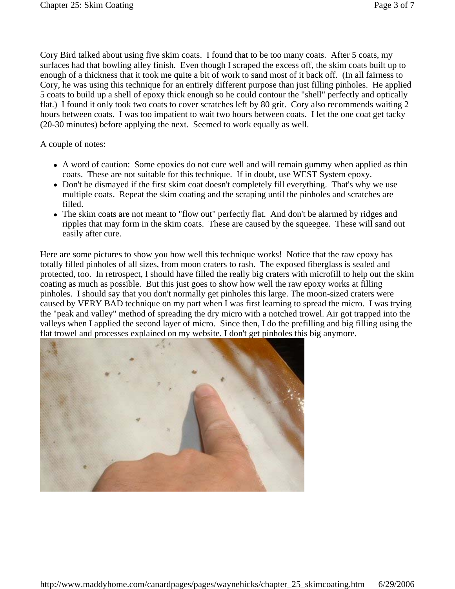Cory Bird talked about using five skim coats. I found that to be too many coats. After 5 coats, my surfaces had that bowling alley finish. Even though I scraped the excess off, the skim coats built up to enough of a thickness that it took me quite a bit of work to sand most of it back off. (In all fairness to Cory, he was using this technique for an entirely different purpose than just filling pinholes. He applied 5 coats to build up a shell of epoxy thick enough so he could contour the "shell" perfectly and optically flat.) I found it only took two coats to cover scratches left by 80 grit. Cory also recommends waiting 2 hours between coats. I was too impatient to wait two hours between coats. I let the one coat get tacky (20-30 minutes) before applying the next. Seemed to work equally as well.

A couple of notes:

- A word of caution: Some epoxies do not cure well and will remain gummy when applied as thin coats. These are not suitable for this technique. If in doubt, use WEST System epoxy.
- Don't be dismayed if the first skim coat doesn't completely fill everything. That's why we use multiple coats. Repeat the skim coating and the scraping until the pinholes and scratches are filled.
- The skim coats are not meant to "flow out" perfectly flat. And don't be alarmed by ridges and ripples that may form in the skim coats. These are caused by the squeegee. These will sand out easily after cure.

Here are some pictures to show you how well this technique works! Notice that the raw epoxy has totally filled pinholes of all sizes, from moon craters to rash. The exposed fiberglass is sealed and protected, too. In retrospect, I should have filled the really big craters with microfill to help out the skim coating as much as possible. But this just goes to show how well the raw epoxy works at filling pinholes. I should say that you don't normally get pinholes this large. The moon-sized craters were caused by VERY BAD technique on my part when I was first learning to spread the micro. I was trying the "peak and valley" method of spreading the dry micro with a notched trowel. Air got trapped into the valleys when I applied the second layer of micro. Since then, I do the prefilling and big filling using the flat trowel and processes explained on my website. I don't get pinholes this big anymore.

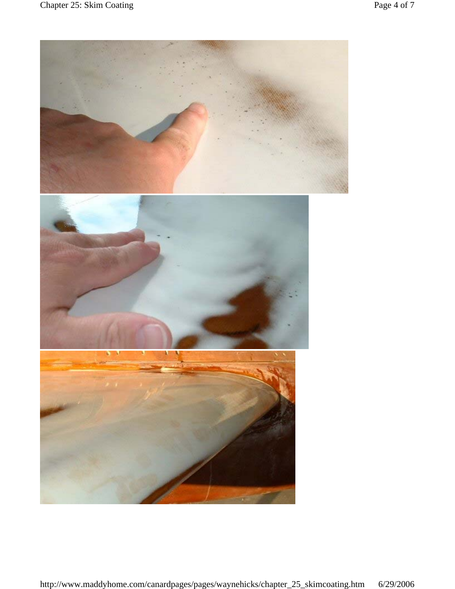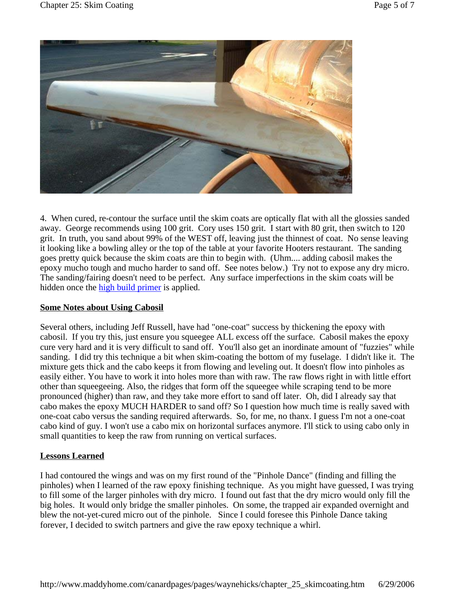

4. When cured, re-contour the surface until the skim coats are optically flat with all the glossies sanded away. George recommends using 100 grit. Cory uses 150 grit. I start with 80 grit, then switch to 120 grit. In truth, you sand about 99% of the WEST off, leaving just the thinnest of coat. No sense leaving it looking like a bowling alley or the top of the table at your favorite Hooters restaurant. The sanding goes pretty quick because the skim coats are thin to begin with. (Uhm.... adding cabosil makes the epoxy mucho tough and mucho harder to sand off. See notes below.) Try not to expose any dry micro. The sanding/fairing doesn't need to be perfect. Any surface imperfections in the skim coats will be hidden once the high build primer is applied.

#### **Some Notes about Using Cabosil**

Several others, including Jeff Russell, have had "one-coat" success by thickening the epoxy with cabosil. If you try this, just ensure you squeegee ALL excess off the surface. Cabosil makes the epoxy cure very hard and it is very difficult to sand off. You'll also get an inordinate amount of "fuzzies" while sanding. I did try this technique a bit when skim-coating the bottom of my fuselage. I didn't like it. The mixture gets thick and the cabo keeps it from flowing and leveling out. It doesn't flow into pinholes as easily either. You have to work it into holes more than with raw. The raw flows right in with little effort other than squeegeeing. Also, the ridges that form off the squeegee while scraping tend to be more pronounced (higher) than raw, and they take more effort to sand off later. Oh, did I already say that cabo makes the epoxy MUCH HARDER to sand off? So I question how much time is really saved with one-coat cabo versus the sanding required afterwards. So, for me, no thanx. I guess I'm not a one-coat cabo kind of guy. I won't use a cabo mix on horizontal surfaces anymore. I'll stick to using cabo only in small quantities to keep the raw from running on vertical surfaces.

#### **Lessons Learned**

I had contoured the wings and was on my first round of the "Pinhole Dance" (finding and filling the pinholes) when I learned of the raw epoxy finishing technique. As you might have guessed, I was trying to fill some of the larger pinholes with dry micro. I found out fast that the dry micro would only fill the big holes. It would only bridge the smaller pinholes. On some, the trapped air expanded overnight and blew the not-yet-cured micro out of the pinhole. Since I could foresee this Pinhole Dance taking forever, I decided to switch partners and give the raw epoxy technique a whirl.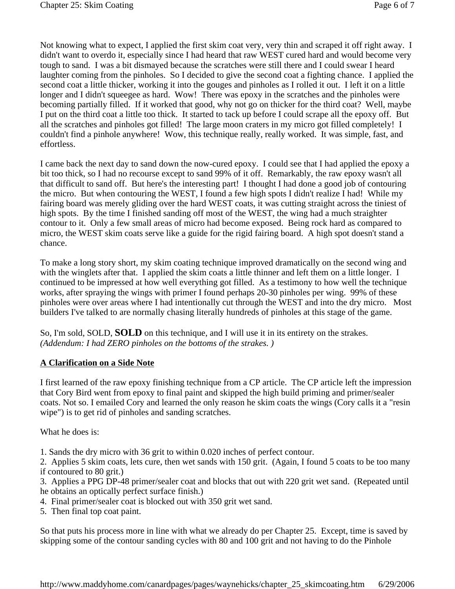Not knowing what to expect, I applied the first skim coat very, very thin and scraped it off right away. I didn't want to overdo it, especially since I had heard that raw WEST cured hard and would become very tough to sand. I was a bit dismayed because the scratches were still there and I could swear I heard laughter coming from the pinholes. So I decided to give the second coat a fighting chance. I applied the second coat a little thicker, working it into the gouges and pinholes as I rolled it out. I left it on a little longer and I didn't squeegee as hard. Wow! There was epoxy in the scratches and the pinholes were becoming partially filled. If it worked that good, why not go on thicker for the third coat? Well, maybe I put on the third coat a little too thick. It started to tack up before I could scrape all the epoxy off. But all the scratches and pinholes got filled! The large moon craters in my micro got filled completely! I couldn't find a pinhole anywhere! Wow, this technique really, really worked. It was simple, fast, and effortless.

I came back the next day to sand down the now-cured epoxy. I could see that I had applied the epoxy a bit too thick, so I had no recourse except to sand 99% of it off. Remarkably, the raw epoxy wasn't all that difficult to sand off. But here's the interesting part! I thought I had done a good job of contouring the micro. But when contouring the WEST, I found a few high spots I didn't realize I had! While my fairing board was merely gliding over the hard WEST coats, it was cutting straight across the tiniest of high spots. By the time I finished sanding off most of the WEST, the wing had a much straighter contour to it. Only a few small areas of micro had become exposed. Being rock hard as compared to micro, the WEST skim coats serve like a guide for the rigid fairing board. A high spot doesn't stand a chance.

To make a long story short, my skim coating technique improved dramatically on the second wing and with the winglets after that. I applied the skim coats a little thinner and left them on a little longer. I continued to be impressed at how well everything got filled. As a testimony to how well the technique works, after spraying the wings with primer I found perhaps 20-30 pinholes per wing. 99% of these pinholes were over areas where I had intentionally cut through the WEST and into the dry micro. Most builders I've talked to are normally chasing literally hundreds of pinholes at this stage of the game.

So, I'm sold, SOLD, **SOLD** on this technique, and I will use it in its entirety on the strakes. *(Addendum: I had ZERO pinholes on the bottoms of the strakes. )*

## **A Clarification on a Side Note**

I first learned of the raw epoxy finishing technique from a CP article. The CP article left the impression that Cory Bird went from epoxy to final paint and skipped the high build priming and primer/sealer coats. Not so. I emailed Cory and learned the only reason he skim coats the wings (Cory calls it a "resin wipe") is to get rid of pinholes and sanding scratches.

What he does is:

1. Sands the dry micro with 36 grit to within 0.020 inches of perfect contour.

2. Applies 5 skim coats, lets cure, then wet sands with 150 grit. (Again, I found 5 coats to be too many if contoured to 80 grit.)

3. Applies a PPG DP-48 primer/sealer coat and blocks that out with 220 grit wet sand. (Repeated until he obtains an optically perfect surface finish.)

- 4. Final primer/sealer coat is blocked out with 350 grit wet sand.
- 5. Then final top coat paint.

So that puts his process more in line with what we already do per Chapter 25. Except, time is saved by skipping some of the contour sanding cycles with 80 and 100 grit and not having to do the Pinhole